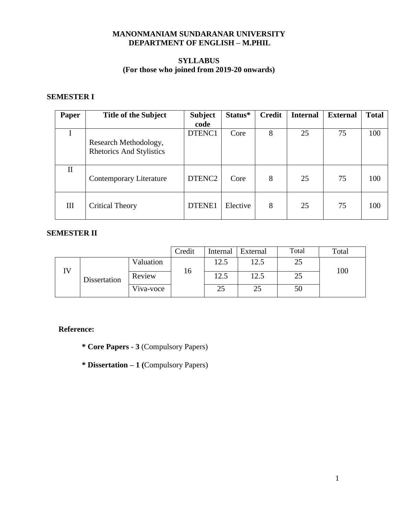# **MANONMANIAM SUNDARANAR UNIVERSITY DEPARTMENT OF ENGLISH – M.PHIL**

# **SYLLABUS (For those who joined from 2019-20 onwards)**

# **SEMESTER I**

| Paper        | <b>Title of the Subject</b>     | <b>Subject</b>     | Status*  | <b>Credit</b> | <b>Internal</b> | <b>External</b> | <b>Total</b> |
|--------------|---------------------------------|--------------------|----------|---------------|-----------------|-----------------|--------------|
|              |                                 | code               |          |               |                 |                 |              |
|              |                                 | DTENC1             | Core     | 8             | 25              | 75              | 100          |
|              | Research Methodology,           |                    |          |               |                 |                 |              |
|              | <b>Rhetorics And Stylistics</b> |                    |          |               |                 |                 |              |
|              |                                 |                    |          |               |                 |                 |              |
| $\mathbf{I}$ |                                 |                    |          |               |                 |                 |              |
|              | Contemporary Literature         | DTENC <sub>2</sub> | Core     | 8             | 25              | 75              | 100          |
|              |                                 |                    |          |               |                 |                 |              |
|              |                                 |                    |          |               |                 |                 |              |
| III          | <b>Critical Theory</b>          | DTENE1             | Elective | 8             | 25              | 75              | 100          |
|              |                                 |                    |          |               |                 |                 |              |

# **SEMESTER II**

|              |           | Credit | Internal | External | Total | Total |
|--------------|-----------|--------|----------|----------|-------|-------|
|              | Valuation |        | 12.5     | 12.5     | 25    |       |
| Dissertation | Review    | 16     | 12.5     | 12.5     | 25    | 100   |
|              | Viva-voce |        | 25       | 25       | 50    |       |

## **Reference:**

- **\* Core Papers - 3** (Compulsory Papers)
- **\* Dissertation – 1 (**Compulsory Papers)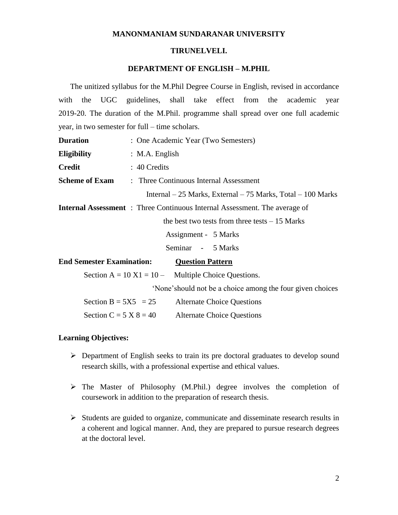## **MANONMANIAM SUNDARANAR UNIVERSITY**

#### **TIRUNELVELI.**

# **DEPARTMENT OF ENGLISH – M.PHIL**

 The unitized syllabus for the M.Phil Degree Course in English, revised in accordance with the UGC guidelines, shall take effect from the academic year 2019-20. The duration of the M.Phil. programme shall spread over one full academic year, in two semester for full – time scholars.

| <b>Duration</b>                  | : One Academic Year (Two Semesters)                                               |  |  |
|----------------------------------|-----------------------------------------------------------------------------------|--|--|
| <b>Eligibility</b>               | : M.A. English                                                                    |  |  |
| <b>Credit</b>                    | : 40 Credits                                                                      |  |  |
| <b>Scheme of Exam</b>            | : Three Continuous Internal Assessment                                            |  |  |
|                                  | Internal $-25$ Marks, External $-75$ Marks, Total $-100$ Marks                    |  |  |
|                                  | <b>Internal Assessment</b> : Three Continuous Internal Assessment. The average of |  |  |
|                                  | the best two tests from three tests $-15$ Marks                                   |  |  |
|                                  | Assignment - 5 Marks                                                              |  |  |
|                                  | Seminar - 5 Marks                                                                 |  |  |
| <b>End Semester Examination:</b> | <b>Question Pattern</b>                                                           |  |  |
|                                  | Section $A = 10 X1 = 10 -$ Multiple Choice Questions.                             |  |  |
|                                  | 'None's hould not be a choice among the four given choices                        |  |  |
| Section B = $5X5 = 25$           | <b>Alternate Choice Questions</b>                                                 |  |  |
| Section C = $5 X 8 = 40$         | <b>Alternate Choice Questions</b>                                                 |  |  |

# **Learning Objectives:**

- $\triangleright$  Department of English seeks to train its pre doctoral graduates to develop sound research skills, with a professional expertise and ethical values.
- The Master of Philosophy (M.Phil.) degree involves the completion of coursework in addition to the preparation of research thesis.
- $\triangleright$  Students are guided to organize, communicate and disseminate research results in a coherent and logical manner. And, they are prepared to pursue research degrees at the doctoral level.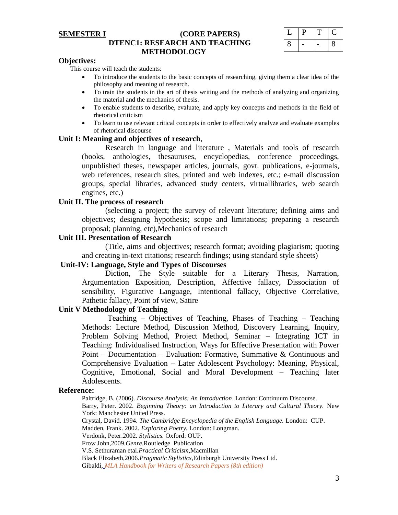## **SEMESTER I (CORE PAPERS) DTENC1: RESEARCH AND TEACHING METHODOLOGY**

|   | ◡ |   |
|---|---|---|
| 8 |   | 8 |

#### **Objectives:**

This course will teach the students:

- To introduce the students to the basic concepts of researching, giving them a clear idea of the philosophy and meaning of research.
- To train the students in the art of thesis writing and the methods of analyzing and organizing the material and the mechanics of thesis.
- To enable students to describe, evaluate, and apply key concepts and methods in the field of rhetorical criticism
- To learn to use relevant critical concepts in order to effectively analyze and evaluate examples of rhetorical discourse

#### **Unit I: Meaning and objectives of research**,

Research in language and literature , Materials and tools of research (books, anthologies, thesauruses, encyclopedias, conference proceedings, unpublished theses, newspaper articles, journals, govt. publications, e-journals, web references, research sites, printed and web indexes, etc.; e-mail discussion groups, special libraries, advanced study centers, virtuallibraries, web search engines, etc.)

## **Unit II. The process of research**

(selecting a project; the survey of relevant literature; defining aims and objectives; designing hypothesis; scope and limitations; preparing a research proposal; planning, etc),Mechanics of research

## **Unit III. Presentation of Research**

(Title, aims and objectives; research format; avoiding plagiarism; quoting and creating in-text citations; research findings; using standard style sheets)

## **Unit-IV: Language, Style and Types of Discourses**

Diction, The Style suitable for a Literary Thesis, Narration, Argumentation Exposition, Description, Affective fallacy, Dissociation of sensibility, Figurative Language, Intentional fallacy, Objective Correlative, Pathetic fallacy, Point of view, Satire

# **Unit V Methodology of Teaching**

Teaching – Objectives of Teaching, Phases of Teaching – Teaching Methods: Lecture Method, Discussion Method, Discovery Learning, Inquiry, Problem Solving Method, Project Method, Seminar – Integrating ICT in Teaching: Individualised Instruction, Ways for Effective Presentation with Power Point – Documentation – Evaluation: Formative, Summative  $\&$  Continuous and Comprehensive Evaluation – Later Adolescent Psychology: Meaning, Physical, Cognitive, Emotional, Social and Moral Development – Teaching later Adolescents.

#### **Reference:**

Paltridge, B. (2006). *Discourse Analysis: An Introduction*. London: Continuum Discourse. Barry, Peter. 2002. *Beginning Theory: an Introduction to Literary and Cultural Theory.* New York: Manchester United Press. Crystal, David. 1994. *The Cambridge Encyclopedia of the English Language.* London: CUP. Madden, Frank. 2002. *Exploring Poetry.* London: Longman. Verdonk, Peter.2002. *Stylistics.* Oxford: OUP. Frow John,2009.*Genre*,Routledge Publication V.S. Sethuraman etal.*Practical Criticism*,Macmillan Black Elizabeth,2006.*Pragmatic Stylistics*,Edinburgh University Press Ltd. Gibaldi*, MLA Handbook for Writers of Research Papers (8th edition)*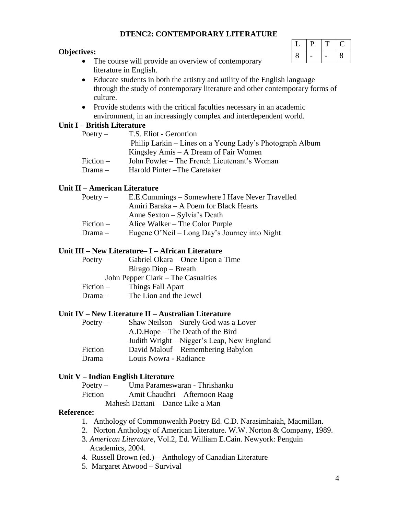# **DTENC2: CONTEMPORARY LITERATURE**

## **Objectives:**

- The course will provide an overview of contemporary literature in English.
- $L$  |  $P$  |  $T$  |  $C$  $8$  - - 8
- Educate students in both the artistry and utility of the English language through the study of contemporary literature and other contemporary forms of culture.
- Provide students with the critical faculties necessary in an academic environment, in an increasingly complex and interdependent world.

## **Unit I – British Literature**

| $Poetry -$  | T.S. Eliot - Gerontion                                   |
|-------------|----------------------------------------------------------|
|             | Philip Larkin – Lines on a Young Lady's Photograph Album |
|             | Kingsley Amis – A Dream of Fair Women                    |
| $Fiction -$ | John Fowler – The French Lieutenant's Woman              |
| $Drama -$   | Harold Pinter – The Caretaker                            |

## **Unit II – American Literature**

| $Poetry -$  | E.E.Cummings – Somewhere I Have Never Travelled |
|-------------|-------------------------------------------------|
|             | Amiri Baraka – A Poem for Black Hearts          |
|             | Anne Sexton – Sylvia's Death                    |
| $Fiction -$ | Alice Walker – The Color Purple                 |
| $Drama -$   | Eugene O'Neil – Long Day's Journey into Night   |

# **Unit III – New Literature– I – African Literature**

| $Poetry -$ | Gabriel Okara – Once Upon a Time |
|------------|----------------------------------|
|            | Birago Diop – Breath             |
|            | ___                              |

John Pepper Clark – The Casualties

- Fiction Things Fall Apart
- $Drama -$  The Lion and the Jewel

## **Unit IV – New Literature II – Australian Literature**

| $Poetry -$  | Shaw Neilson – Surely God was a Lover      |
|-------------|--------------------------------------------|
|             | A.D.Hope – The Death of the Bird           |
|             | Judith Wright – Nigger's Leap, New England |
| $Fiction -$ | David Malouf – Remembering Babylon         |
| $Drama -$   | Louis Nowra - Radiance                     |

## **Unit V – Indian English Literature**

- Fiction Amit Chaudhri Afternoon Raag
	- Mahesh Dattani Dance Like a Man

# **Reference:**

- 1. Anthology of Commonwealth Poetry Ed. C.D. Narasimhaiah, Macmillan.
- 2. Norton Anthology of American Literature. W.W. Norton & Company, 1989.
- 3*. American Literature*, Vol.2, Ed. William E.Cain. Newyork: Penguin Academics, 2004.
- 4. Russell Brown (ed.) Anthology of Canadian Literature
- 5. Margaret Atwood Survival